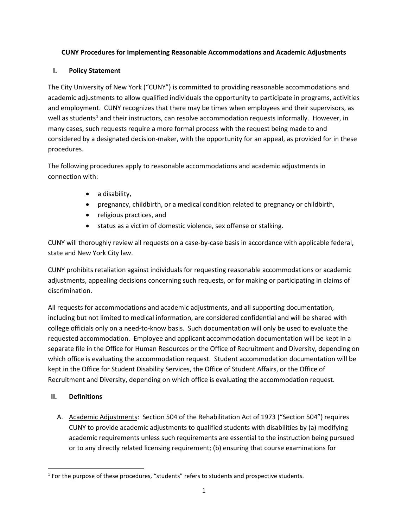# **CUNY Procedures for Implementing Reasonable Accommodations and Academic Adjustments**

### **I. Policy Statement**

The City University of New York ("CUNY") is committed to providing reasonable accommodations and academic adjustments to allow qualified individuals the opportunity to participate in programs, activities and employment. CUNY recognizes that there may be times when employees and their supervisors, as well as students<sup>[1](#page-0-0)</sup> and their instructors, can resolve accommodation requests informally. However, in many cases, such requests require a more formal process with the request being made to and considered by a designated decision-maker, with the opportunity for an appeal, as provided for in these procedures.

The following procedures apply to reasonable accommodations and academic adjustments in connection with:

- a disability,
- pregnancy, childbirth, or a medical condition related to pregnancy or childbirth,
- religious practices, and
- status as a victim of domestic violence, sex offense or stalking.

CUNY will thoroughly review all requests on a case-by-case basis in accordance with applicable federal, state and New York City law.

CUNY prohibits retaliation against individuals for requesting reasonable accommodations or academic adjustments, appealing decisions concerning such requests, or for making or participating in claims of discrimination.

All requests for accommodations and academic adjustments, and all supporting documentation, including but not limited to medical information, are considered confidential and will be shared with college officials only on a need-to-know basis. Such documentation will only be used to evaluate the requested accommodation. Employee and applicant accommodation documentation will be kept in a separate file in the Office for Human Resources or the Office of Recruitment and Diversity, depending on which office is evaluating the accommodation request. Student accommodation documentation will be kept in the Office for Student Disability Services, the Office of Student Affairs, or the Office of Recruitment and Diversity, depending on which office is evaluating the accommodation request.

# **II. Definitions**

A. Academic Adjustments: Section 504 of the Rehabilitation Act of 1973 ("Section 504") requires CUNY to provide academic adjustments to qualified students with disabilities by (a) modifying academic requirements unless such requirements are essential to the instruction being pursued or to any directly related licensing requirement; (b) ensuring that course examinations for

<span id="page-0-0"></span><sup>&</sup>lt;sup>1</sup> For the purpose of these procedures, "students" refers to students and prospective students.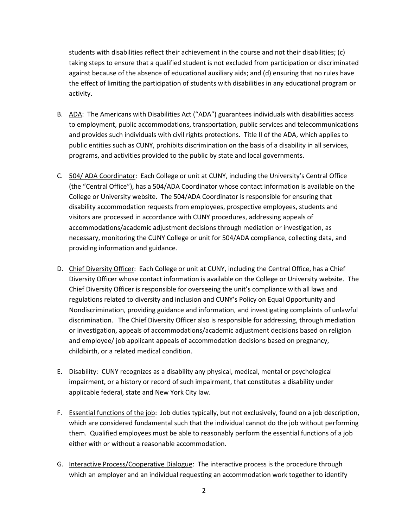students with disabilities reflect their achievement in the course and not their disabilities; (c) taking steps to ensure that a qualified student is not excluded from participation or discriminated against because of the absence of educational auxiliary aids; and (d) ensuring that no rules have the effect of limiting the participation of students with disabilities in any educational program or activity.

- B. ADA: The Americans with Disabilities Act ("ADA") guarantees individuals with disabilities access to employment, public accommodations, transportation, public services and telecommunications and provides such individuals with civil rights protections. Title II of the ADA, which applies to public entities such as CUNY, prohibits discrimination on the basis of a disability in all services, programs, and activities provided to the public by state and local governments.
- C. 504/ ADA Coordinator: Each College or unit at CUNY, including the University's Central Office (the "Central Office"), has a 504/ADA Coordinator whose contact information is available on the College or University website. The 504/ADA Coordinator is responsible for ensuring that disability accommodation requests from employees, prospective employees, students and visitors are processed in accordance with CUNY procedures, addressing appeals of accommodations/academic adjustment decisions through mediation or investigation, as necessary, monitoring the CUNY College or unit for 504/ADA compliance, collecting data, and providing information and guidance.
- D. Chief Diversity Officer: Each College or unit at CUNY, including the Central Office, has a Chief Diversity Officer whose contact information is available on the College or University website. The Chief Diversity Officer is responsible for overseeing the unit's compliance with all laws and regulations related to diversity and inclusion and CUNY's Policy on Equal Opportunity and Nondiscrimination, providing guidance and information, and investigating complaints of unlawful discrimination. The Chief Diversity Officer also is responsible for addressing, through mediation or investigation, appeals of accommodations/academic adjustment decisions based on religion and employee/ job applicant appeals of accommodation decisions based on pregnancy, childbirth, or a related medical condition.
- E. Disability: CUNY recognizes as a disability any physical, medical, mental or psychological impairment, or a history or record of such impairment, that constitutes a disability under applicable federal, state and New York City law.
- F. Essential functions of the job: Job duties typically, but not exclusively, found on a job description, which are considered fundamental such that the individual cannot do the job without performing them. Qualified employees must be able to reasonably perform the essential functions of a job either with or without a reasonable accommodation.
- G. Interactive Process/Cooperative Dialogue: The interactive process is the procedure through which an employer and an individual requesting an accommodation work together to identify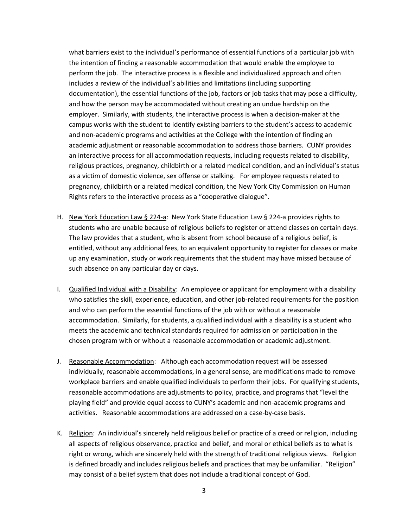what barriers exist to the individual's performance of essential functions of a particular job with the intention of finding a reasonable accommodation that would enable the employee to perform the job. The interactive process is a flexible and individualized approach and often includes a review of the individual's abilities and limitations (including supporting documentation), the essential functions of the job, factors or job tasks that may pose a difficulty, and how the person may be accommodated without creating an undue hardship on the employer. Similarly, with students, the interactive process is when a decision-maker at the campus works with the student to identify existing barriers to the student's access to academic and non-academic programs and activities at the College with the intention of finding an academic adjustment or reasonable accommodation to address those barriers. CUNY provides an interactive process for all accommodation requests, including requests related to disability, religious practices, pregnancy, childbirth or a related medical condition, and an individual's status as a victim of domestic violence, sex offense or stalking. For employee requests related to pregnancy, childbirth or a related medical condition, the New York City Commission on Human Rights refers to the interactive process as a "cooperative dialogue".

- H. New York Education Law § 224-a: New York State Education Law § 224-a provides rights to students who are unable because of religious beliefs to register or attend classes on certain days. The law provides that a student, who is absent from school because of a religious belief, is entitled, without any additional fees, to an equivalent opportunity to register for classes or make up any examination, study or work requirements that the student may have missed because of such absence on any particular day or days.
- I. Qualified Individual with a Disability: An employee or applicant for employment with a disability who satisfies the skill, experience, education, and other job-related requirements for the position and who can perform the essential functions of the job with or without a reasonable accommodation. Similarly, for students, a qualified individual with a disability is a student who meets the academic and technical standards required for admission or participation in the chosen program with or without a reasonable accommodation or academic adjustment.
- J. Reasonable Accommodation: Although each accommodation request will be assessed individually, reasonable accommodations, in a general sense, are modifications made to remove workplace barriers and enable qualified individuals to perform their jobs. For qualifying students, reasonable accommodations are adjustments to policy, practice, and programs that "level the playing field" and provide equal access to CUNY's academic and non-academic programs and activities. Reasonable accommodations are addressed on a case-by-case basis.
- K. Religion: An individual's sincerely held religious belief or practice of a creed or religion, including all aspects of religious observance, practice and belief, and moral or ethical beliefs as to what is right or wrong, which are sincerely held with the strength of traditional religious views. Religion is defined broadly and includes religious beliefs and practices that may be unfamiliar. "Religion" may consist of a belief system that does not include a traditional concept of God.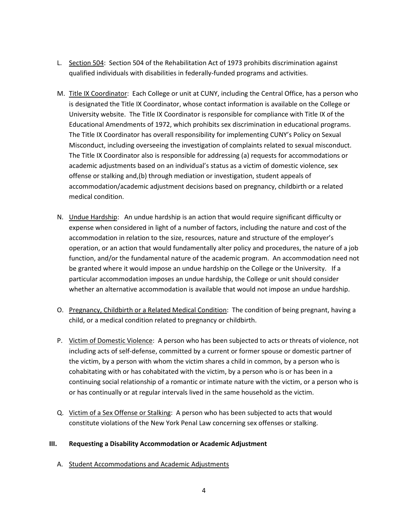- L. Section 504: Section 504 of the Rehabilitation Act of 1973 prohibits discrimination against qualified individuals with disabilities in federally-funded programs and activities.
- M. Title IX Coordinator: Each College or unit at CUNY, including the Central Office, has a person who is designated the Title IX Coordinator, whose contact information is available on the College or University website. The Title IX Coordinator is responsible for compliance with Title IX of the Educational Amendments of 1972, which prohibits sex discrimination in educational programs. The Title IX Coordinator has overall responsibility for implementing CUNY's Policy on Sexual Misconduct, including overseeing the investigation of complaints related to sexual misconduct. The Title IX Coordinator also is responsible for addressing (a) requests for accommodations or academic adjustments based on an individual's status as a victim of domestic violence, sex offense or stalking and,(b) through mediation or investigation, student appeals of accommodation/academic adjustment decisions based on pregnancy, childbirth or a related medical condition.
- N. Undue Hardship: An undue hardship is an action that would require significant difficulty or expense when considered in light of a number of factors, including the nature and cost of the accommodation in relation to the size, resources, nature and structure of the employer's operation, or an action that would fundamentally alter policy and procedures, the nature of a job function, and/or the fundamental nature of the academic program. An accommodation need not be granted where it would impose an undue hardship on the College or the University. If a particular accommodation imposes an undue hardship, the College or unit should consider whether an alternative accommodation is available that would not impose an undue hardship.
- O. Pregnancy, Childbirth or a Related Medical Condition: The condition of being pregnant, having a child, or a medical condition related to pregnancy or childbirth.
- P. Victim of Domestic Violence: A person who has been subjected to acts or threats of violence, not including acts of self-defense, committed by a current or former spouse or domestic partner of the victim, by a person with whom the victim shares a child in common, by a person who is cohabitating with or has cohabitated with the victim, by a person who is or has been in a continuing social relationship of a romantic or intimate nature with the victim, or a person who is or has continually or at regular intervals lived in the same household as the victim.
- Q. Victim of a Sex Offense or Stalking: A person who has been subjected to acts that would constitute violations of the New York Penal Law concerning sex offenses or stalking.

### **III. Requesting a Disability Accommodation or Academic Adjustment**

A. Student Accommodations and Academic Adjustments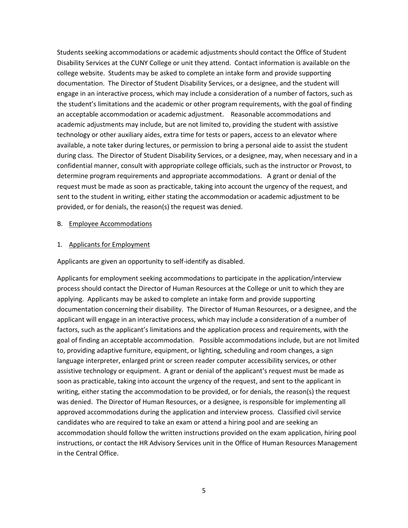Students seeking accommodations or academic adjustments should contact the Office of Student Disability Services at the CUNY College or unit they attend. Contact information is available on the college website. Students may be asked to complete an intake form and provide supporting documentation. The Director of Student Disability Services, or a designee, and the student will engage in an interactive process, which may include a consideration of a number of factors, such as the student's limitations and the academic or other program requirements, with the goal of finding an acceptable accommodation or academic adjustment. Reasonable accommodations and academic adjustments may include, but are not limited to, providing the student with assistive technology or other auxiliary aides, extra time for tests or papers, access to an elevator where available, a note taker during lectures, or permission to bring a personal aide to assist the student during class. The Director of Student Disability Services, or a designee, may, when necessary and in a confidential manner, consult with appropriate college officials, such as the instructor or Provost, to determine program requirements and appropriate accommodations. A grant or denial of the request must be made as soon as practicable, taking into account the urgency of the request, and sent to the student in writing, either stating the accommodation or academic adjustment to be provided, or for denials, the reason(s) the request was denied.

#### B. Employee Accommodations

#### 1. Applicants for Employment

Applicants are given an opportunity to self-identify as disabled.

Applicants for employment seeking accommodations to participate in the application/interview process should contact the Director of Human Resources at the College or unit to which they are applying. Applicants may be asked to complete an intake form and provide supporting documentation concerning their disability. The Director of Human Resources, or a designee, and the applicant will engage in an interactive process, which may include a consideration of a number of factors, such as the applicant's limitations and the application process and requirements, with the goal of finding an acceptable accommodation. Possible accommodations include, but are not limited to, providing adaptive furniture, equipment, or lighting, scheduling and room changes, a sign language interpreter, enlarged print or screen reader computer accessibility services, or other assistive technology or equipment. A grant or denial of the applicant's request must be made as soon as practicable, taking into account the urgency of the request, and sent to the applicant in writing, either stating the accommodation to be provided, or for denials, the reason(s) the request was denied. The Director of Human Resources, or a designee, is responsible for implementing all approved accommodations during the application and interview process. Classified civil service candidates who are required to take an exam or attend a hiring pool and are seeking an accommodation should follow the written instructions provided on the exam application, hiring pool instructions, or contact the HR Advisory Services unit in the Office of Human Resources Management in the Central Office.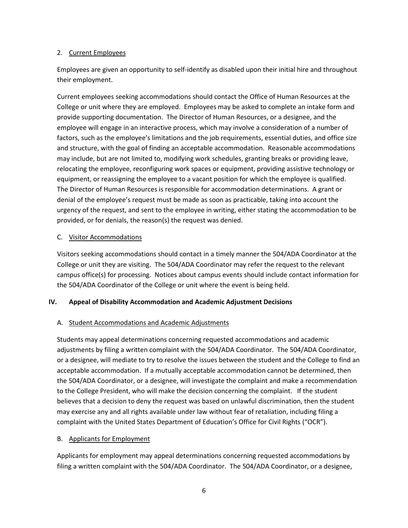### 2. Current Employees

Employees are given an opportunity to self-identify as disabled upon their initial hire and throughout their employment.

Current employees seeking accommodations should contact the Office of Human Resources at the College or unit where they are employed. Employees may be asked to complete an intake form and provide supporting documentation. The Director of Human Resources, or a designee, and the employee will engage in an interactive process, which may involve a consideration of a number of factors, such as the employee's limitations and the job requirements, essential duties, and office size and structure, with the goal of finding an acceptable accommodation. Reasonable accommodations may include, but are not limited to, modifying work schedules, granting breaks or providing leave, relocating the employee, reconfiguring work spaces or equipment, providing assistive technology or equipment, or reassigning the employee to a vacant position for which the employee is qualified. The Director of Human Resources is responsible for accommodation determinations. A grant or denial of the employee's request must be made as soon as practicable, taking into account the urgency of the request, and sent to the employee in writing, either stating the accommodation to be provided, or for denials, the reason(s) the request was denied.

# C. Visitor Accommodations

Visitors seeking accommodations should contact in a timely manner the 504/ADA Coordinator at the College or unit they are visiting. The 504/ADA Coordinator may refer the request to the relevant campus office(s) for processing. Notices about campus events should include contact information for the 504/ADA Coordinator of the College or unit where the event is being held.

# **IV. Appeal of Disability Accommodation and Academic Adjustment Decisions**

# A. Student Accommodations and Academic Adjustments

Students may appeal determinations concerning requested accommodations and academic adjustments by filing a written complaint with the 504/ADA Coordinator. The 504/ADA Coordinator, or a designee, will mediate to try to resolve the issues between the student and the College to find an acceptable accommodation. If a mutually acceptable accommodation cannot be determined, then the 504/ADA Coordinator, or a designee, will investigate the complaint and make a recommendation to the College President, who will make the decision concerning the complaint. If the student believes that a decision to deny the request was based on unlawful discrimination, then the student may exercise any and all rights available under law without fear of retaliation, including filing a complaint with the United States Department of Education's Office for Civil Rights ("OCR").

### B. Applicants for Employment

Applicants for employment may appeal determinations concerning requested accommodations by filing a written complaint with the 504/ADA Coordinator. The 504/ADA Coordinator, or a designee,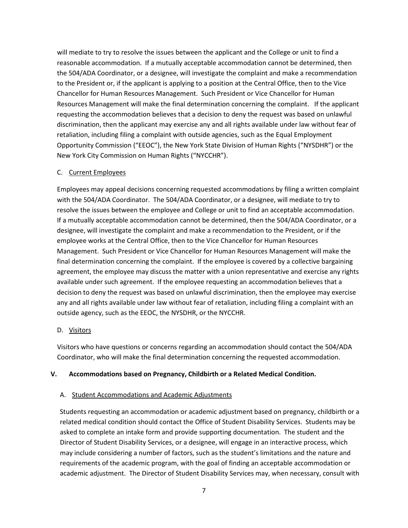will mediate to try to resolve the issues between the applicant and the College or unit to find a reasonable accommodation. If a mutually acceptable accommodation cannot be determined, then the 504/ADA Coordinator, or a designee, will investigate the complaint and make a recommendation to the President or, if the applicant is applying to a position at the Central Office, then to the Vice Chancellor for Human Resources Management. Such President or Vice Chancellor for Human Resources Management will make the final determination concerning the complaint. If the applicant requesting the accommodation believes that a decision to deny the request was based on unlawful discrimination, then the applicant may exercise any and all rights available under law without fear of retaliation, including filing a complaint with outside agencies, such as the Equal Employment Opportunity Commission ("EEOC"), the New York State Division of Human Rights ("NYSDHR") or the New York City Commission on Human Rights ("NYCCHR").

### C. Current Employees

Employees may appeal decisions concerning requested accommodations by filing a written complaint with the 504/ADA Coordinator. The 504/ADA Coordinator, or a designee, will mediate to try to resolve the issues between the employee and College or unit to find an acceptable accommodation. If a mutually acceptable accommodation cannot be determined, then the 504/ADA Coordinator, or a designee, will investigate the complaint and make a recommendation to the President, or if the employee works at the Central Office, then to the Vice Chancellor for Human Resources Management. Such President or Vice Chancellor for Human Resources Management will make the final determination concerning the complaint. If the employee is covered by a collective bargaining agreement, the employee may discuss the matter with a union representative and exercise any rights available under such agreement. If the employee requesting an accommodation believes that a decision to deny the request was based on unlawful discrimination, then the employee may exercise any and all rights available under law without fear of retaliation, including filing a complaint with an outside agency, such as the EEOC, the NYSDHR, or the NYCCHR.

### D. Visitors

Visitors who have questions or concerns regarding an accommodation should contact the 504/ADA Coordinator, who will make the final determination concerning the requested accommodation.

### **V. Accommodations based on Pregnancy, Childbirth or a Related Medical Condition.**

### A. Student Accommodations and Academic Adjustments

Students requesting an accommodation or academic adjustment based on pregnancy, childbirth or a related medical condition should contact the Office of Student Disability Services. Students may be asked to complete an intake form and provide supporting documentation. The student and the Director of Student Disability Services, or a designee, will engage in an interactive process, which may include considering a number of factors, such as the student's limitations and the nature and requirements of the academic program, with the goal of finding an acceptable accommodation or academic adjustment. The Director of Student Disability Services may, when necessary, consult with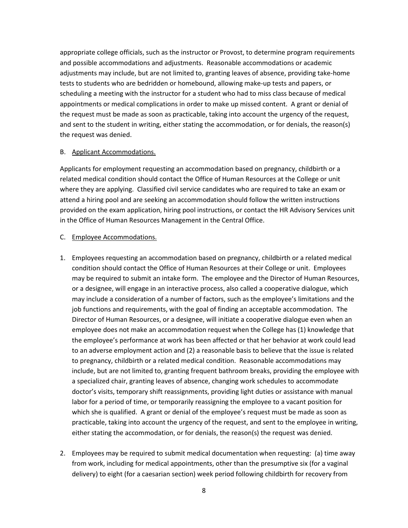appropriate college officials, such as the instructor or Provost, to determine program requirements and possible accommodations and adjustments. Reasonable accommodations or academic adjustments may include, but are not limited to, granting leaves of absence, providing take-home tests to students who are bedridden or homebound, allowing make-up tests and papers, or scheduling a meeting with the instructor for a student who had to miss class because of medical appointments or medical complications in order to make up missed content. A grant or denial of the request must be made as soon as practicable, taking into account the urgency of the request, and sent to the student in writing, either stating the accommodation, or for denials, the reason(s) the request was denied.

#### B. Applicant Accommodations.

Applicants for employment requesting an accommodation based on pregnancy, childbirth or a related medical condition should contact the Office of Human Resources at the College or unit where they are applying. Classified civil service candidates who are required to take an exam or attend a hiring pool and are seeking an accommodation should follow the written instructions provided on the exam application, hiring pool instructions, or contact the HR Advisory Services unit in the Office of Human Resources Management in the Central Office.

### C. Employee Accommodations.

- 1. Employees requesting an accommodation based on pregnancy, childbirth or a related medical condition should contact the Office of Human Resources at their College or unit. Employees may be required to submit an intake form. The employee and the Director of Human Resources, or a designee, will engage in an interactive process, also called a cooperative dialogue, which may include a consideration of a number of factors, such as the employee's limitations and the job functions and requirements, with the goal of finding an acceptable accommodation. The Director of Human Resources, or a designee, will initiate a cooperative dialogue even when an employee does not make an accommodation request when the College has (1) knowledge that the employee's performance at work has been affected or that her behavior at work could lead to an adverse employment action and (2) a reasonable basis to believe that the issue is related to pregnancy, childbirth or a related medical condition. Reasonable accommodations may include, but are not limited to, granting frequent bathroom breaks, providing the employee with a specialized chair, granting leaves of absence, changing work schedules to accommodate doctor's visits, temporary shift reassignments, providing light duties or assistance with manual labor for a period of time, or temporarily reassigning the employee to a vacant position for which she is qualified. A grant or denial of the employee's request must be made as soon as practicable, taking into account the urgency of the request, and sent to the employee in writing, either stating the accommodation, or for denials, the reason(s) the request was denied.
- 2. Employees may be required to submit medical documentation when requesting: (a) time away from work, including for medical appointments, other than the presumptive six (for a vaginal delivery) to eight (for a caesarian section) week period following childbirth for recovery from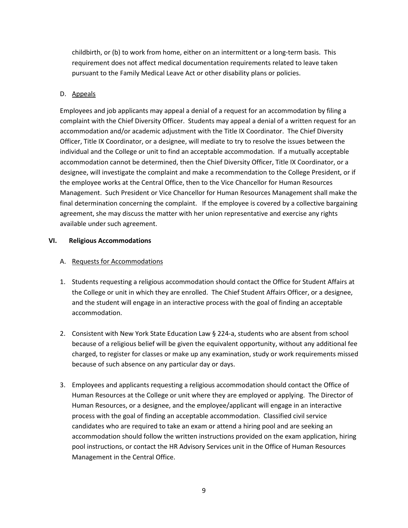childbirth, or (b) to work from home, either on an intermittent or a long-term basis. This requirement does not affect medical documentation requirements related to leave taken pursuant to the Family Medical Leave Act or other disability plans or policies.

# D. Appeals

Employees and job applicants may appeal a denial of a request for an accommodation by filing a complaint with the Chief Diversity Officer. Students may appeal a denial of a written request for an accommodation and/or academic adjustment with the Title IX Coordinator. The Chief Diversity Officer, Title IX Coordinator, or a designee, will mediate to try to resolve the issues between the individual and the College or unit to find an acceptable accommodation. If a mutually acceptable accommodation cannot be determined, then the Chief Diversity Officer, Title IX Coordinator, or a designee, will investigate the complaint and make a recommendation to the College President, or if the employee works at the Central Office, then to the Vice Chancellor for Human Resources Management. Such President or Vice Chancellor for Human Resources Management shall make the final determination concerning the complaint. If the employee is covered by a collective bargaining agreement, she may discuss the matter with her union representative and exercise any rights available under such agreement.

# **VI. Religious Accommodations**

# A. Requests for Accommodations

- 1. Students requesting a religious accommodation should contact the Office for Student Affairs at the College or unit in which they are enrolled. The Chief Student Affairs Officer, or a designee, and the student will engage in an interactive process with the goal of finding an acceptable accommodation.
- 2. Consistent with New York State Education Law § 224-a, students who are absent from school because of a religious belief will be given the equivalent opportunity, without any additional fee charged, to register for classes or make up any examination, study or work requirements missed because of such absence on any particular day or days.
- 3. Employees and applicants requesting a religious accommodation should contact the Office of Human Resources at the College or unit where they are employed or applying. The Director of Human Resources, or a designee, and the employee/applicant will engage in an interactive process with the goal of finding an acceptable accommodation. Classified civil service candidates who are required to take an exam or attend a hiring pool and are seeking an accommodation should follow the written instructions provided on the exam application, hiring pool instructions, or contact the HR Advisory Services unit in the Office of Human Resources Management in the Central Office.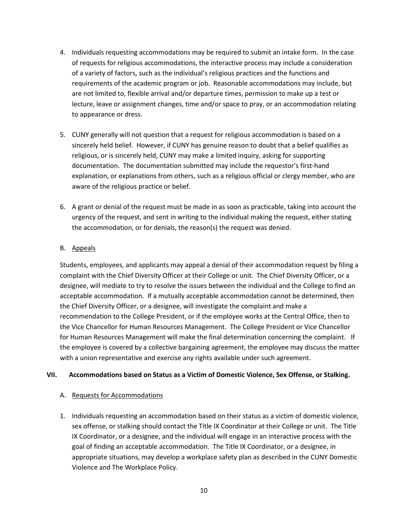- 4. Individuals requesting accommodations may be required to submit an intake form. In the case of requests for religious accommodations, the interactive process may include a consideration of a variety of factors, such as the individual's religious practices and the functions and requirements of the academic program or job. Reasonable accommodations may include, but are not limited to, flexible arrival and/or departure times, permission to make up a test or lecture, leave or assignment changes, time and/or space to pray, or an accommodation relating to appearance or dress.
- 5. CUNY generally will not question that a request for religious accommodation is based on a sincerely held belief. However, if CUNY has genuine reason to doubt that a belief qualifies as religious, or is sincerely held, CUNY may make a limited inquiry, asking for supporting documentation. The documentation submitted may include the requestor's first-hand explanation, or explanations from others, such as a religious official or clergy member, who are aware of the religious practice or belief.
- 6. A grant or denial of the request must be made in as soon as practicable, taking into account the urgency of the request, and sent in writing to the individual making the request, either stating the accommodation, or for denials, the reason(s) the request was denied.

### B. Appeals

Students, employees, and applicants may appeal a denial of their accommodation request by filing a complaint with the Chief Diversity Officer at their College or unit. The Chief Diversity Officer, or a designee, will mediate to try to resolve the issues between the individual and the College to find an acceptable accommodation. If a mutually acceptable accommodation cannot be determined, then the Chief Diversity Officer, or a designee, will investigate the complaint and make a recommendation to the College President, or if the employee works at the Central Office, then to the Vice Chancellor for Human Resources Management. The College President or Vice Chancellor for Human Resources Management will make the final determination concerning the complaint. If the employee is covered by a collective bargaining agreement, the employee may discuss the matter with a union representative and exercise any rights available under such agreement.

### **VII. Accommodations based on Status as a Victim of Domestic Violence, Sex Offense, or Stalking.**

### A. Requests for Accommodations

1. Individuals requesting an accommodation based on their status as a victim of domestic violence, sex offense, or stalking should contact the Title IX Coordinator at their College or unit. The Title IX Coordinator, or a designee, and the individual will engage in an interactive process with the goal of finding an acceptable accommodation. The Title IX Coordinator, or a designee, in appropriate situations, may develop a workplace safety plan as described in the CUNY Domestic Violence and The Workplace Policy.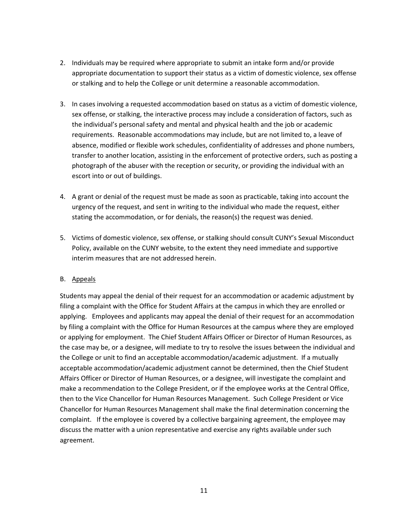- 2. Individuals may be required where appropriate to submit an intake form and/or provide appropriate documentation to support their status as a victim of domestic violence, sex offense or stalking and to help the College or unit determine a reasonable accommodation.
- 3. In cases involving a requested accommodation based on status as a victim of domestic violence, sex offense, or stalking, the interactive process may include a consideration of factors, such as the individual's personal safety and mental and physical health and the job or academic requirements. Reasonable accommodations may include, but are not limited to, a leave of absence, modified or flexible work schedules, confidentiality of addresses and phone numbers, transfer to another location, assisting in the enforcement of protective orders, such as posting a photograph of the abuser with the reception or security, or providing the individual with an escort into or out of buildings.
- 4. A grant or denial of the request must be made as soon as practicable, taking into account the urgency of the request, and sent in writing to the individual who made the request, either stating the accommodation, or for denials, the reason(s) the request was denied.
- 5. Victims of domestic violence, sex offense, or stalking should consult CUNY's Sexual Misconduct Policy, available on the CUNY website, to the extent they need immediate and supportive interim measures that are not addressed herein.

### B. Appeals

Students may appeal the denial of their request for an accommodation or academic adjustment by filing a complaint with the Office for Student Affairs at the campus in which they are enrolled or applying. Employees and applicants may appeal the denial of their request for an accommodation by filing a complaint with the Office for Human Resources at the campus where they are employed or applying for employment. The Chief Student Affairs Officer or Director of Human Resources, as the case may be, or a designee, will mediate to try to resolve the issues between the individual and the College or unit to find an acceptable accommodation/academic adjustment. If a mutually acceptable accommodation/academic adjustment cannot be determined, then the Chief Student Affairs Officer or Director of Human Resources, or a designee, will investigate the complaint and make a recommendation to the College President, or if the employee works at the Central Office, then to the Vice Chancellor for Human Resources Management. Such College President or Vice Chancellor for Human Resources Management shall make the final determination concerning the complaint. If the employee is covered by a collective bargaining agreement, the employee may discuss the matter with a union representative and exercise any rights available under such agreement.